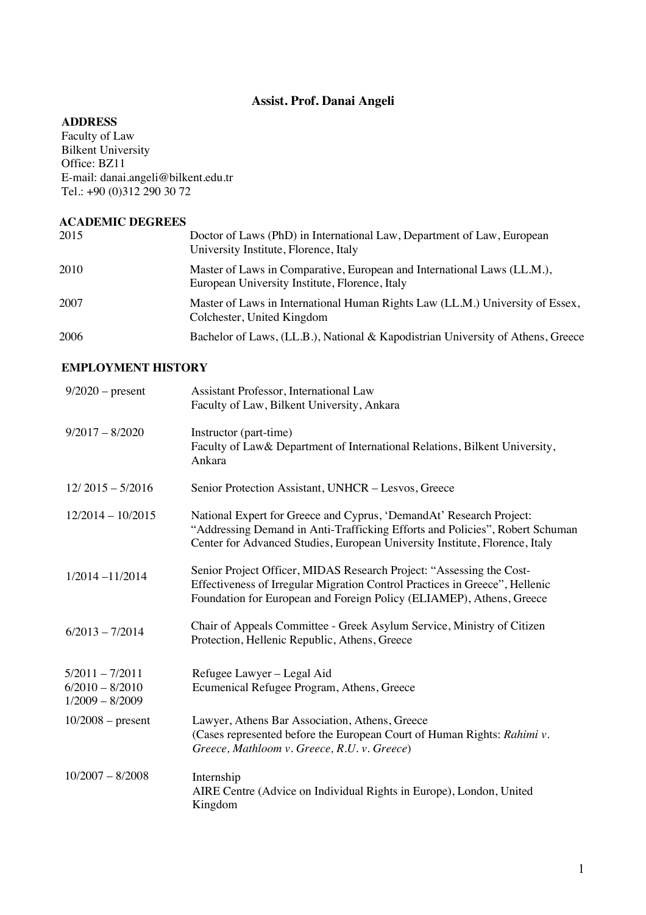# **Assist. Prof. Danai Angeli**

#### **ADDRESS**

Faculty of Law Bilkent University Office: BZ11 E-mail: danai.angeli@bilkent.edu.tr Tel.: +90 (0)312 290 30 72

#### **ACADEMIC DEGREES**

| 2015 | Doctor of Laws (PhD) in International Law, Department of Law, European<br>University Institute, Florence, Italy           |
|------|---------------------------------------------------------------------------------------------------------------------------|
| 2010 | Master of Laws in Comparative, European and International Laws (LL.M.),<br>European University Institute, Florence, Italy |
| 2007 | Master of Laws in International Human Rights Law (LL.M.) University of Essex,<br>Colchester, United Kingdom               |
| 2006 | Bachelor of Laws, (LL.B.), National & Kapodistrian University of Athens, Greece                                           |

## **EMPLOYMENT HISTORY**

| $9/2020$ – present                                          | Assistant Professor, International Law<br>Faculty of Law, Bilkent University, Ankara                                                                                                                                               |
|-------------------------------------------------------------|------------------------------------------------------------------------------------------------------------------------------------------------------------------------------------------------------------------------------------|
| $9/2017 - 8/2020$                                           | Instructor (part-time)<br>Faculty of Law& Department of International Relations, Bilkent University,<br>Ankara                                                                                                                     |
| $12/2015 - 5/2016$                                          | Senior Protection Assistant, UNHCR - Lesvos, Greece                                                                                                                                                                                |
| $12/2014 - 10/2015$                                         | National Expert for Greece and Cyprus, 'DemandAt' Research Project:<br>"Addressing Demand in Anti-Trafficking Efforts and Policies", Robert Schuman<br>Center for Advanced Studies, European University Institute, Florence, Italy |
| $1/2014 - 11/2014$                                          | Senior Project Officer, MIDAS Research Project: "Assessing the Cost-<br>Effectiveness of Irregular Migration Control Practices in Greece", Hellenic<br>Foundation for European and Foreign Policy (ELIAMEP), Athens, Greece        |
| $6/2013 - 7/2014$                                           | Chair of Appeals Committee - Greek Asylum Service, Ministry of Citizen<br>Protection, Hellenic Republic, Athens, Greece                                                                                                            |
| $5/2011 - 7/2011$<br>$6/2010 - 8/2010$<br>$1/2009 - 8/2009$ | Refugee Lawyer - Legal Aid<br>Ecumenical Refugee Program, Athens, Greece                                                                                                                                                           |
| $10/2008$ – present                                         | Lawyer, Athens Bar Association, Athens, Greece<br>(Cases represented before the European Court of Human Rights: Rahimi v.<br>Greece, Mathloom v. Greece, R.U. v. Greece)                                                           |
| $10/2007 - 8/2008$                                          | Internship<br>AIRE Centre (Advice on Individual Rights in Europe), London, United<br>Kingdom                                                                                                                                       |